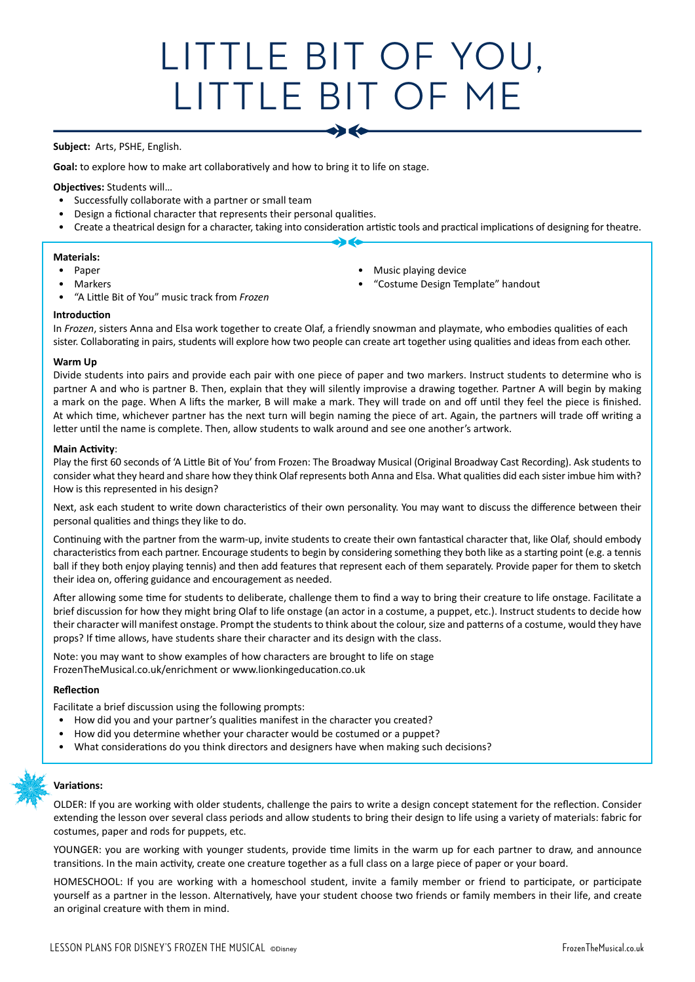# LITTLE BIT OF YOU, LITTLE BIT OF ME

 $\bullet$   $\bullet$ 

#### **Subject:** Arts, PSHE, English.

**Goal:** to explore how to make art collaboratively and how to bring it to life on stage.

#### **Objectives:** Students will…

- Successfully collaborate with a partner or small team
- Design a fictional character that represents their personal qualities.
- Create a theatrical design for a character, taking into consideration artistic tools and practical implications of designing for theatre.  $\rightarrow$

#### **Materials:**

- Paper
- **Markers**
- "A Little Bit of You" music track from *Frozen*
- Music playing device • "Costume Design Template" handout

**Introduction**

In *Frozen*, sisters Anna and Elsa work together to create Olaf, a friendly snowman and playmate, who embodies qualities of each sister. Collaborating in pairs, students will explore how two people can create art together using qualities and ideas from each other.

#### **Warm Up**

Divide students into pairs and provide each pair with one piece of paper and two markers. Instruct students to determine who is partner A and who is partner B. Then, explain that they will silently improvise a drawing together. Partner A will begin by making a mark on the page. When A lifts the marker, B will make a mark. They will trade on and off until they feel the piece is finished. At which time, whichever partner has the next turn will begin naming the piece of art. Again, the partners will trade off writing a letter until the name is complete. Then, allow students to walk around and see one another's artwork.

#### **Main Activity**:

Play the first 60 seconds of 'A Little Bit of You' from Frozen: The Broadway Musical (Original Broadway Cast Recording). Ask students to consider what they heard and share how they think Olaf represents both Anna and Elsa. What qualities did each sister imbue him with? How is this represented in his design?

Next, ask each student to write down characteristics of their own personality. You may want to discuss the difference between their personal qualities and things they like to do.

Continuing with the partner from the warm-up, invite students to create their own fantastical character that, like Olaf, should embody characteristics from each partner. Encourage students to begin by considering something they both like as a starting point (e.g. a tennis ball if they both enjoy playing tennis) and then add features that represent each of them separately. Provide paper for them to sketch their idea on, offering guidance and encouragement as needed.

After allowing some time for students to deliberate, challenge them to find a way to bring their creature to life onstage. Facilitate a brief discussion for how they might bring Olaf to life onstage (an actor in a costume, a puppet, etc.). Instruct students to decide how their character will manifest onstage. Prompt the students to think about the colour, size and patterns of a costume, would they have props? If time allows, have students share their character and its design with the class.

Note: you may want to show examples of how characters are brought to life on stage FrozenTheMusical.co.uk/enrichment or www.lionkingeducation.co.uk

#### **Reflection**

Facilitate a brief discussion using the following prompts:

- How did you and your partner's qualities manifest in the character you created?
- How did you determine whether your character would be costumed or a puppet?
- What considerations do you think directors and designers have when making such decisions?

### **Variations:**

OLDER: If you are working with older students, challenge the pairs to write a design concept statement for the reflection. Consider extending the lesson over several class periods and allow students to bring their design to life using a variety of materials: fabric for costumes, paper and rods for puppets, etc.

YOUNGER: you are working with younger students, provide time limits in the warm up for each partner to draw, and announce transitions. In the main activity, create one creature together as a full class on a large piece of paper or your board.

HOMESCHOOL: If you are working with a homeschool student, invite a family member or friend to participate, or participate yourself as a partner in the lesson. Alternatively, have your student choose two friends or family members in their life, and create an original creature with them in mind.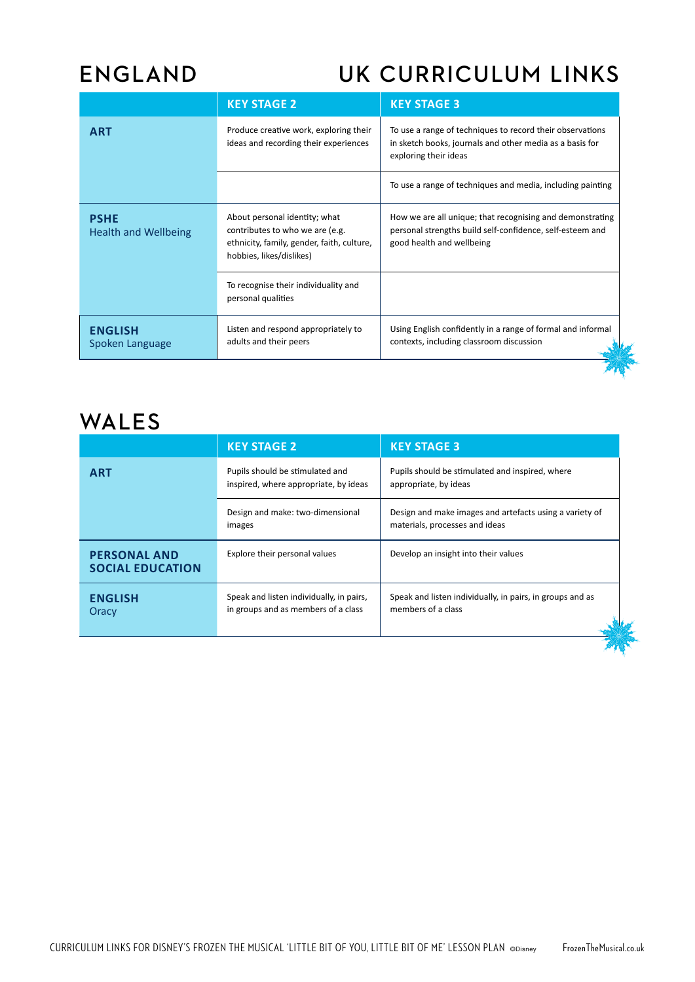### **ENGLAND UK CURRICULUM LINKS**

|                                            | <b>KEY STAGE 2</b>                                                                                                                         | <b>KEY STAGE 3</b>                                                                                                                                  |  |
|--------------------------------------------|--------------------------------------------------------------------------------------------------------------------------------------------|-----------------------------------------------------------------------------------------------------------------------------------------------------|--|
| <b>ART</b>                                 | Produce creative work, exploring their<br>ideas and recording their experiences                                                            | To use a range of techniques to record their observations<br>in sketch books, journals and other media as a basis for<br>exploring their ideas      |  |
|                                            |                                                                                                                                            | To use a range of techniques and media, including painting                                                                                          |  |
| <b>PSHE</b><br><b>Health and Wellbeing</b> | About personal identity; what<br>contributes to who we are (e.g.<br>ethnicity, family, gender, faith, culture,<br>hobbies, likes/dislikes) | How we are all unique; that recognising and demonstrating<br>personal strengths build self-confidence, self-esteem and<br>good health and wellbeing |  |
|                                            | To recognise their individuality and<br>personal qualities                                                                                 |                                                                                                                                                     |  |
| <b>ENGLISH</b><br>Spoken Language          | Listen and respond appropriately to<br>adults and their peers                                                                              | Using English confidently in a range of formal and informal<br>contexts, including classroom discussion                                             |  |
|                                            |                                                                                                                                            |                                                                                                                                                     |  |

### **WALES**

|                                                | <b>KEY STAGE 2</b>                                                              | <b>KEY STAGE 3</b>                                                                        |  |
|------------------------------------------------|---------------------------------------------------------------------------------|-------------------------------------------------------------------------------------------|--|
| <b>ART</b>                                     | Pupils should be stimulated and<br>inspired, where appropriate, by ideas        | Pupils should be stimulated and inspired, where<br>appropriate, by ideas                  |  |
|                                                | Design and make: two-dimensional<br>images                                      | Design and make images and artefacts using a variety of<br>materials, processes and ideas |  |
| <b>PERSONAL AND</b><br><b>SOCIAL EDUCATION</b> | Explore their personal values                                                   | Develop an insight into their values                                                      |  |
| <b>ENGLISH</b><br>Oracy                        | Speak and listen individually, in pairs,<br>in groups and as members of a class | Speak and listen individually, in pairs, in groups and as<br>members of a class           |  |